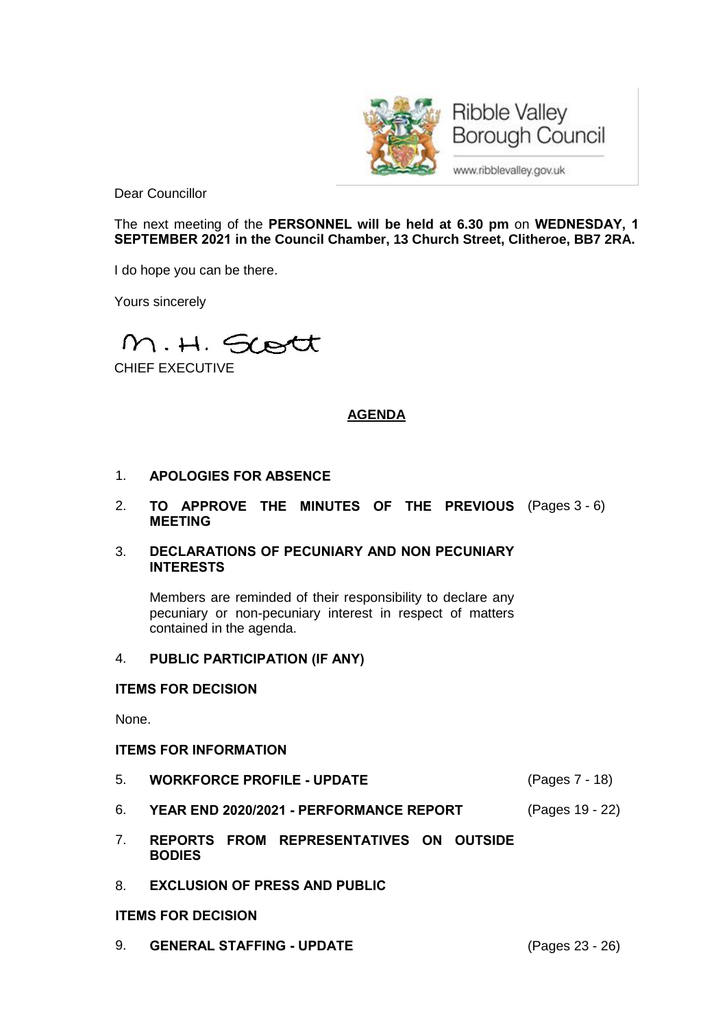

**Ribble Valley Borough Council** 

www.ribblevalley.gov.uk

Dear Councillor

The next meeting of the **PERSONNEL will be held at 6.30 pm** on **WEDNESDAY, 1 SEPTEMBER 2021 in the Council Chamber, 13 Church Street, Clitheroe, BB7 2RA.**

I do hope you can be there.

Yours sincerely

M.H. Scott

CHIEF EXECUTIVE

# **AGENDA**

- 1. **APOLOGIES FOR ABSENCE**
- 2. **TO APPROVE THE MINUTES OF THE PREVIOUS** (Pages 3 6) **MEETING**
- 3. **DECLARATIONS OF PECUNIARY AND NON PECUNIARY INTERESTS**

Members are reminded of their responsibility to declare any pecuniary or non-pecuniary interest in respect of matters contained in the agenda.

### 4. **PUBLIC PARTICIPATION (IF ANY)**

## **ITEMS FOR DECISION**

None.

### **ITEMS FOR INFORMATION**

- 5. **WORKFORCE PROFILE - UPDATE** (Pages 7 18)
- 6. **YEAR END 2020/2021 - PERFORMANCE REPORT** (Pages 19 22)
- 7. **REPORTS FROM REPRESENTATIVES ON OUTSIDE BODIES**
- 8. **EXCLUSION OF PRESS AND PUBLIC**
- **ITEMS FOR DECISION**
- 9. **GENERAL STAFFING - UPDATE** (Pages 23 26)